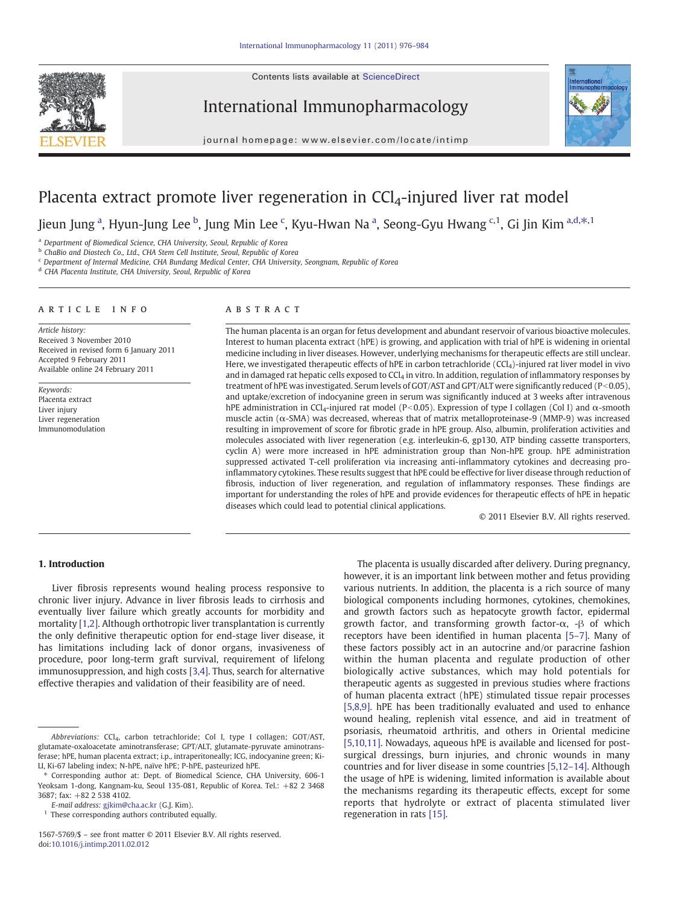Contents lists available at ScienceDirect



International Immunopharmacology



journal homepage: www.elsevier.com/locate/intimp

# Placenta extract promote liver regeneration in  $CCI<sub>4</sub>$ -injured liver rat model

Jieun Jung <sup>a</sup>, Hyun-Jung Lee <sup>b</sup>, Jung Min Lee <sup>c</sup>, Kyu-Hwan Na <sup>a</sup>, Seong-Gyu Hwang <sup>c, 1</sup>, Gi Jin Kim <sup>a,d,\*, 1</sup>

<sup>a</sup> Department of Biomedical Science, CHA University, Seoul, Republic of Korea

b ChaBio and Diostech Co., Ltd., CHA Stem Cell Institute, Seoul, Republic of Korea

<sup>c</sup> Department of Internal Medicine, CHA Bundang Medical Center, CHA University, Seongnam, Republic of Korea

<sup>d</sup> CHA Placenta Institute, CHA University, Seoul, Republic of Korea

#### article info abstract

Article history: Received 3 November 2010 Received in revised form 6 January 2011 Accepted 9 February 2011 Available online 24 February 2011

Keywords: Placenta extract Liver injury Liver regeneration Immunomodulation

The human placenta is an organ for fetus development and abundant reservoir of various bioactive molecules. Interest to human placenta extract (hPE) is growing, and application with trial of hPE is widening in oriental medicine including in liver diseases. However, underlying mechanisms for therapeutic effects are still unclear. Here, we investigated therapeutic effects of hPE in carbon tetrachloride (CCl<sub>4</sub>)-injured rat liver model in vivo and in damaged rat hepatic cells exposed to  $CCl<sub>4</sub>$  in vitro. In addition, regulation of inflammatory responses by treatment of hPE was investigated. Serum levels of GOT/AST and GPT/ALT were significantly reduced ( $P<0.05$ ), and uptake/excretion of indocyanine green in serum was significantly induced at 3 weeks after intravenous hPE administration in CCl<sub>4</sub>-injured rat model (P<0.05). Expression of type I collagen (Col I) and α-smooth muscle actin ( $\alpha$ -SMA) was decreased, whereas that of matrix metalloproteinase-9 (MMP-9) was increased resulting in improvement of score for fibrotic grade in hPE group. Also, albumin, proliferation activities and molecules associated with liver regeneration (e.g. interleukin-6, gp130, ATP binding cassette transporters, cyclin A) were more increased in hPE administration group than Non-hPE group. hPE administration suppressed activated T-cell proliferation via increasing anti-inflammatory cytokines and decreasing proinflammatory cytokines. These results suggest that hPE could be effective for liver disease through reduction of fibrosis, induction of liver regeneration, and regulation of inflammatory responses. These findings are important for understanding the roles of hPE and provide evidences for therapeutic effects of hPE in hepatic diseases which could lead to potential clinical applications.

© 2011 Elsevier B.V. All rights reserved.

# 1. Introduction

Liver fibrosis represents wound healing process responsive to chronic liver injury. Advance in liver fibrosis leads to cirrhosis and eventually liver failure which greatly accounts for morbidity and mortality [\[1,2\].](#page-7-0) Although orthotropic liver transplantation is currently the only definitive therapeutic option for end-stage liver disease, it has limitations including lack of donor organs, invasiveness of procedure, poor long-term graft survival, requirement of lifelong immunosuppression, and high costs [\[3,4\].](#page-7-0) Thus, search for alternative effective therapies and validation of their feasibility are of need.

The placenta is usually discarded after delivery. During pregnancy, however, it is an important link between mother and fetus providing various nutrients. In addition, the placenta is a rich source of many biological components including hormones, cytokines, chemokines, and growth factors such as hepatocyte growth factor, epidermal growth factor, and transforming growth factor- $\alpha$ , - $\beta$  of which receptors have been identified in human placenta [5–[7\].](#page-7-0) Many of these factors possibly act in an autocrine and/or paracrine fashion within the human placenta and regulate production of other biologically active substances, which may hold potentials for therapeutic agents as suggested in previous studies where fractions of human placenta extract (hPE) stimulated tissue repair processes [\[5,8,9\].](#page-7-0) hPE has been traditionally evaluated and used to enhance wound healing, replenish vital essence, and aid in treatment of psoriasis, rheumatoid arthritis, and others in Oriental medicine [\[5,10,11\].](#page-7-0) Nowadays, aqueous hPE is available and licensed for postsurgical dressings, burn injuries, and chronic wounds in many countries and for liver disease in some countries [\[5,12](#page-7-0)–14]. Although the usage of hPE is widening, limited information is available about the mechanisms regarding its therapeutic effects, except for some reports that hydrolyte or extract of placenta stimulated liver regeneration in rats [\[15\].](#page-8-0)

Abbreviations: CCl<sub>4</sub>, carbon tetrachloride; Col I, type I collagen; GOT/AST, glutamate-oxaloacetate aminotransferase; GPT/ALT, glutamate-pyruvate aminotransferase; hPE, human placenta extract; i.p., intraperitoneally; ICG, indocyanine green; Ki-LI, Ki-67 labeling index; N-hPE, naïve hPE; P-hPE, pasteurized hPE.

<sup>⁎</sup> Corresponding author at: Dept. of Biomedical Science, CHA University, 606-1 Yeoksam 1-dong, Kangnam-ku, Seoul 135-081, Republic of Korea. Tel.: +82 2 3468 3687; fax: +82 2 538 4102.

E-mail address: [gjkim@cha.ac.kr](mailto:gjkim@cha.ac.kr) (G.J. Kim).

<sup>&</sup>lt;sup>1</sup> These corresponding authors contributed equally.

<sup>1567-5769/\$</sup> – see front matter © 2011 Elsevier B.V. All rights reserved. doi[:10.1016/j.intimp.2011.02.012](http://dx.doi.org/10.1016/j.intimp.2011.02.012)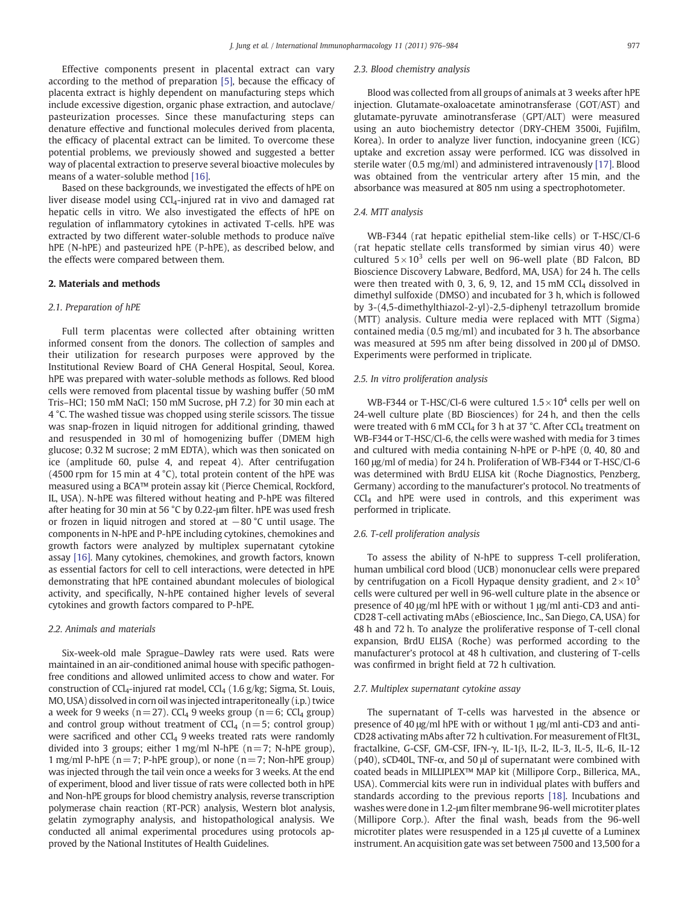Effective components present in placental extract can vary according to the method of preparation [\[5\]](#page-7-0), because the efficacy of placenta extract is highly dependent on manufacturing steps which include excessive digestion, organic phase extraction, and autoclave/ pasteurization processes. Since these manufacturing steps can denature effective and functional molecules derived from placenta, the efficacy of placental extract can be limited. To overcome these potential problems, we previously showed and suggested a better way of placental extraction to preserve several bioactive molecules by means of a water-soluble method [\[16\].](#page-8-0)

Based on these backgrounds, we investigated the effects of hPE on liver disease model using CCl<sub>4</sub>-injured rat in vivo and damaged rat hepatic cells in vitro. We also investigated the effects of hPE on regulation of inflammatory cytokines in activated T-cells. hPE was extracted by two different water-soluble methods to produce naïve hPE (N-hPE) and pasteurized hPE (P-hPE), as described below, and the effects were compared between them.

#### 2. Materials and methods

#### 2.1. Preparation of hPE

Full term placentas were collected after obtaining written informed consent from the donors. The collection of samples and their utilization for research purposes were approved by the Institutional Review Board of CHA General Hospital, Seoul, Korea. hPE was prepared with water-soluble methods as follows. Red blood cells were removed from placental tissue by washing buffer (50 mM Tris–HCl; 150 mM NaCl; 150 mM Sucrose, pH 7.2) for 30 min each at 4 °C. The washed tissue was chopped using sterile scissors. The tissue was snap-frozen in liquid nitrogen for additional grinding, thawed and resuspended in 30 ml of homogenizing buffer (DMEM high glucose; 0.32 M sucrose; 2 mM EDTA), which was then sonicated on ice (amplitude 60, pulse 4, and repeat 4). After centrifugation (4500 rpm for 15 min at 4 °C), total protein content of the hPE was measured using a BCA™ protein assay kit (Pierce Chemical, Rockford, IL, USA). N-hPE was filtered without heating and P-hPE was filtered after heating for 30 min at 56 °C by 0.22-μm filter. hPE was used fresh or frozen in liquid nitrogen and stored at  $-80$  °C until usage. The components in N-hPE and P-hPE including cytokines, chemokines and growth factors were analyzed by multiplex supernatant cytokine assay [\[16\]](#page-8-0). Many cytokines, chemokines, and growth factors, known as essential factors for cell to cell interactions, were detected in hPE demonstrating that hPE contained abundant molecules of biological activity, and specifically, N-hPE contained higher levels of several cytokines and growth factors compared to P-hPE.

#### 2.2. Animals and materials

Six-week-old male Sprague–Dawley rats were used. Rats were maintained in an air-conditioned animal house with specific pathogenfree conditions and allowed unlimited access to chow and water. For construction of  $CCl_4$ -injured rat model,  $CCl_4$  (1.6 g/kg; Sigma, St. Louis, MO, USA) dissolved in corn oil was injected intraperitoneally (i.p.) twice a week for 9 weeks ( $n=27$ ). CCl<sub>4</sub> 9 weeks group ( $n=6$ ; CCl<sub>4</sub> group) and control group without treatment of  $CCl<sub>4</sub>$  (n=5; control group) were sacrificed and other  $CCl<sub>4</sub>$  9 weeks treated rats were randomly divided into 3 groups; either 1 mg/ml N-hPE ( $n=7$ ; N-hPE group), 1 mg/ml P-hPE ( $n=7$ ; P-hPE group), or none ( $n=7$ ; Non-hPE group) was injected through the tail vein once a weeks for 3 weeks. At the end of experiment, blood and liver tissue of rats were collected both in hPE and Non-hPE groups for blood chemistry analysis, reverse transcription polymerase chain reaction (RT-PCR) analysis, Western blot analysis, gelatin zymography analysis, and histopathological analysis. We conducted all animal experimental procedures using protocols approved by the National Institutes of Health Guidelines.

#### 2.3. Blood chemistry analysis

Blood was collected from all groups of animals at 3 weeks after hPE injection. Glutamate-oxaloacetate aminotransferase (GOT/AST) and glutamate-pyruvate aminotransferase (GPT/ALT) were measured using an auto biochemistry detector (DRY-CHEM 3500i, Fujifilm, Korea). In order to analyze liver function, indocyanine green (ICG) uptake and excretion assay were performed. ICG was dissolved in sterile water (0.5 mg/ml) and administered intravenously [\[17\].](#page-8-0) Blood was obtained from the ventricular artery after 15 min, and the absorbance was measured at 805 nm using a spectrophotometer.

# 2.4. MTT analysis

WB-F344 (rat hepatic epithelial stem-like cells) or T-HSC/Cl-6 (rat hepatic stellate cells transformed by simian virus 40) were cultured  $5 \times 10^3$  cells per well on 96-well plate (BD Falcon, BD Bioscience Discovery Labware, Bedford, MA, USA) for 24 h. The cells were then treated with 0, 3, 6, 9, 12, and 15 mM  $CCl<sub>4</sub>$  dissolved in dimethyl sulfoxide (DMSO) and incubated for 3 h, which is followed by 3-(4,5-dimethylthiazol-2-yl)-2,5-diphenyl tetrazollum bromide (MTT) analysis. Culture media were replaced with MTT (Sigma) contained media (0.5 mg/ml) and incubated for 3 h. The absorbance was measured at 595 nm after being dissolved in 200 μl of DMSO. Experiments were performed in triplicate.

#### 2.5. In vitro proliferation analysis

WB-F344 or T-HSC/Cl-6 were cultured  $1.5 \times 10^4$  cells per well on 24-well culture plate (BD Biosciences) for 24 h, and then the cells were treated with 6 mM CCl<sub>4</sub> for 3 h at 37  $^{\circ}$ C. After CCl<sub>4</sub> treatment on WB-F344 or T-HSC/Cl-6, the cells were washed with media for 3 times and cultured with media containing N-hPE or P-hPE (0, 40, 80 and 160 μg/ml of media) for 24 h. Proliferation of WB-F344 or T-HSC/Cl-6 was determined with BrdU ELISA kit (Roche Diagnostics, Penzberg, Germany) according to the manufacturer's protocol. No treatments of  $CCl<sub>4</sub>$  and hPE were used in controls, and this experiment was performed in triplicate.

## 2.6. T-cell proliferation analysis

To assess the ability of N-hPE to suppress T-cell proliferation, human umbilical cord blood (UCB) mononuclear cells were prepared by centrifugation on a Ficoll Hypaque density gradient, and  $2 \times 10^5$ cells were cultured per well in 96-well culture plate in the absence or presence of 40 μg/ml hPE with or without 1 μg/ml anti-CD3 and anti-CD28 T-cell activating mAbs (eBioscience, Inc., San Diego, CA, USA) for 48 h and 72 h. To analyze the proliferative response of T-cell clonal expansion, BrdU ELISA (Roche) was performed according to the manufacturer's protocol at 48 h cultivation, and clustering of T-cells was confirmed in bright field at 72 h cultivation.

#### 2.7. Multiplex supernatant cytokine assay

The supernatant of T-cells was harvested in the absence or presence of 40 μg/ml hPE with or without 1 μg/ml anti-CD3 and anti-CD28 activating mAbs after 72 h cultivation. For measurement of Flt3L, fractalkine, G-CSF, GM-CSF, IFN-γ, IL-1β, IL-2, IL-3, IL-5, IL-6, IL-12 ( $p40$ ), sCD40L, TNF- $\alpha$ , and 50  $\mu$ l of supernatant were combined with coated beads in MILLIPLEX™ MAP kit (Millipore Corp., Billerica, MA., USA). Commercial kits were run in individual plates with buffers and standards according to the previous reports [\[18\]](#page-8-0). Incubations and washes were done in 1.2-μm filter membrane 96-well microtiter plates (Millipore Corp.). After the final wash, beads from the 96-well microtiter plates were resuspended in a 125 μl cuvette of a Luminex instrument. An acquisition gate was set between 7500 and 13,500 for a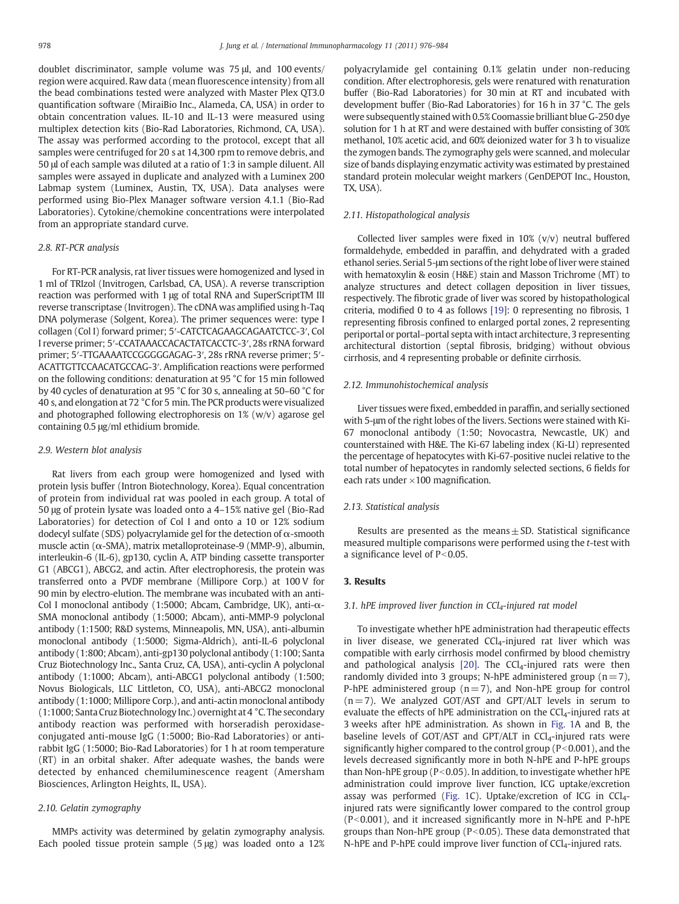doublet discriminator, sample volume was 75 μl, and 100 events/ region were acquired. Raw data (mean fluorescence intensity) from all the bead combinations tested were analyzed with Master Plex QT3.0 quantification software (MiraiBio Inc., Alameda, CA, USA) in order to obtain concentration values. IL-10 and IL-13 were measured using multiplex detection kits (Bio-Rad Laboratories, Richmond, CA, USA). The assay was performed according to the protocol, except that all samples were centrifuged for 20 s at 14,300 rpm to remove debris, and 50 μl of each sample was diluted at a ratio of 1:3 in sample diluent. All samples were assayed in duplicate and analyzed with a Luminex 200 Labmap system (Luminex, Austin, TX, USA). Data analyses were performed using Bio-Plex Manager software version 4.1.1 (Bio-Rad Laboratories). Cytokine/chemokine concentrations were interpolated from an appropriate standard curve.

## 2.8. RT-PCR analysis

For RT-PCR analysis, rat liver tissues were homogenized and lysed in 1 ml of TRIzol (Invitrogen, Carlsbad, CA, USA). A reverse transcription reaction was performed with 1 μg of total RNA and SuperScriptTM III reverse transcriptase (Invitrogen). The cDNA was amplified using h-Taq DNA polymerase (Solgent, Korea). The primer sequences were: type I collagen (Col I) forward primer; 5′-CATCTCAGAAGCAGAATCTCC-3′, Col I reverse primer; 5′-CCATAAACCACACTATCACCTC-3′, 28s rRNA forward primer; 5′-TTGAAAATCCGGGGGAGAG-3′, 28s rRNA reverse primer; 5′- ACATTGTTCCAACATGCCAG-3′. Amplification reactions were performed on the following conditions: denaturation at 95 °C for 15 min followed by 40 cycles of denaturation at 95 °C for 30 s, annealing at 50–60 °C for 40 s, and elongation at 72 °C for 5 min. The PCR products were visualized and photographed following electrophoresis on 1% (w/v) agarose gel containing 0.5 μg/ml ethidium bromide.

#### 2.9. Western blot analysis

Rat livers from each group were homogenized and lysed with protein lysis buffer (Intron Biotechnology, Korea). Equal concentration of protein from individual rat was pooled in each group. A total of 50 μg of protein lysate was loaded onto a 4–15% native gel (Bio-Rad Laboratories) for detection of Col I and onto a 10 or 12% sodium dodecyl sulfate (SDS) polyacrylamide gel for the detection of α-smooth muscle actin (α-SMA), matrix metalloproteinase-9 (MMP-9), albumin, interleukin-6 (IL-6), gp130, cyclin A, ATP binding cassette transporter G1 (ABCG1), ABCG2, and actin. After electrophoresis, the protein was transferred onto a PVDF membrane (Millipore Corp.) at 100 V for 90 min by electro-elution. The membrane was incubated with an anti-Col I monoclonal antibody (1:5000; Abcam, Cambridge, UK), anti-α-SMA monoclonal antibody (1:5000; Abcam), anti-MMP-9 polyclonal antibody (1:1500; R&D systems, Minneapolis, MN, USA), anti-albumin monoclonal antibody (1:5000; Sigma-Aldrich), anti-IL-6 polyclonal antibody (1:800; Abcam), anti-gp130 polyclonal antibody (1:100; Santa Cruz Biotechnology Inc., Santa Cruz, CA, USA), anti-cyclin A polyclonal antibody (1:1000; Abcam), anti-ABCG1 polyclonal antibody (1:500; Novus Biologicals, LLC Littleton, CO, USA), anti-ABCG2 monoclonal antibody (1:1000; Millipore Corp.), and anti-actin monoclonal antibody (1:1000; Santa Cruz Biotechnology Inc.) overnight at 4 °C. The secondary antibody reaction was performed with horseradish peroxidaseconjugated anti-mouse IgG (1:5000; Bio-Rad Laboratories) or antirabbit IgG (1:5000; Bio-Rad Laboratories) for 1 h at room temperature (RT) in an orbital shaker. After adequate washes, the bands were detected by enhanced chemiluminescence reagent (Amersham Biosciences, Arlington Heights, IL, USA).

# 2.10. Gelatin zymography

MMPs activity was determined by gelatin zymography analysis. Each pooled tissue protein sample (5 μg) was loaded onto a 12% polyacrylamide gel containing 0.1% gelatin under non-reducing condition. After electrophoresis, gels were renatured with renaturation buffer (Bio-Rad Laboratories) for 30 min at RT and incubated with development buffer (Bio-Rad Laboratories) for 16 h in 37 °C. The gels were subsequently stained with 0.5% Coomassie brilliant blue G-250 dye solution for 1 h at RT and were destained with buffer consisting of 30% methanol, 10% acetic acid, and 60% deionized water for 3 h to visualize the zymogen bands. The zymography gels were scanned, and molecular size of bands displaying enzymatic activity was estimated by prestained standard protein molecular weight markers (GenDEPOT Inc., Houston, TX, USA).

# 2.11. Histopathological analysis

Collected liver samples were fixed in 10% (v/v) neutral buffered formaldehyde, embedded in paraffin, and dehydrated with a graded ethanol series. Serial 5-μm sections of the right lobe of liver were stained with hematoxylin & eosin (H&E) stain and Masson Trichrome (MT) to analyze structures and detect collagen deposition in liver tissues, respectively. The fibrotic grade of liver was scored by histopathological criteria, modified 0 to 4 as follows [\[19\]:](#page-8-0) 0 representing no fibrosis, 1 representing fibrosis confined to enlarged portal zones, 2 representing periportal or portal–portal septa with intact architecture, 3 representing architectural distortion (septal fibrosis, bridging) without obvious cirrhosis, and 4 representing probable or definite cirrhosis.

# 2.12. Immunohistochemical analysis

Liver tissues were fixed, embedded in paraffin, and serially sectioned with 5-μm of the right lobes of the livers. Sections were stained with Ki-67 monoclonal antibody (1:50; Novocastra, Newcastle, UK) and counterstained with H&E. The Ki-67 labeling index (Ki-LI) represented the percentage of hepatocytes with Ki-67-positive nuclei relative to the total number of hepatocytes in randomly selected sections, 6 fields for each rats under  $\times$ 100 magnification.

## 2.13. Statistical analysis

Results are presented as the means $\pm$  SD. Statistical significance measured multiple comparisons were performed using the t-test with a significance level of  $P<0.05$ .

# 3. Results

#### 3.1. hPE improved liver function in  $CCl<sub>4</sub>$ -injured rat model

To investigate whether hPE administration had therapeutic effects in liver disease, we generated  $CCl<sub>4</sub>$ -injured rat liver which was compatible with early cirrhosis model confirmed by blood chemistry and pathological analysis [\[20\].](#page-8-0) The  $CCl<sub>4</sub>$ -injured rats were then randomly divided into 3 groups; N-hPE administered group  $(n=7)$ , P-hPE administered group  $(n=7)$ , and Non-hPE group for control  $(n= 7)$ . We analyzed GOT/AST and GPT/ALT levels in serum to evaluate the effects of hPE administration on the  $CCl<sub>4</sub>$ -injured rats at 3 weeks after hPE administration. As shown in [Fig. 1](#page-3-0)A and B, the baseline levels of GOT/AST and GPT/ALT in  $CCI<sub>4</sub>$ -injured rats were significantly higher compared to the control group ( $P<0.001$ ), and the levels decreased significantly more in both N-hPE and P-hPE groups than Non-hPE group ( $P<0.05$ ). In addition, to investigate whether hPE administration could improve liver function, ICG uptake/excretion assay was performed ([Fig. 1](#page-3-0)C). Uptake/excretion of ICG in  $CCI<sub>4</sub>$ injured rats were significantly lower compared to the control group  $(P<0.001)$ , and it increased significantly more in N-hPE and P-hPE groups than Non-hPE group ( $P<0.05$ ). These data demonstrated that N-hPE and P-hPE could improve liver function of  $CCl<sub>4</sub>$ -injured rats.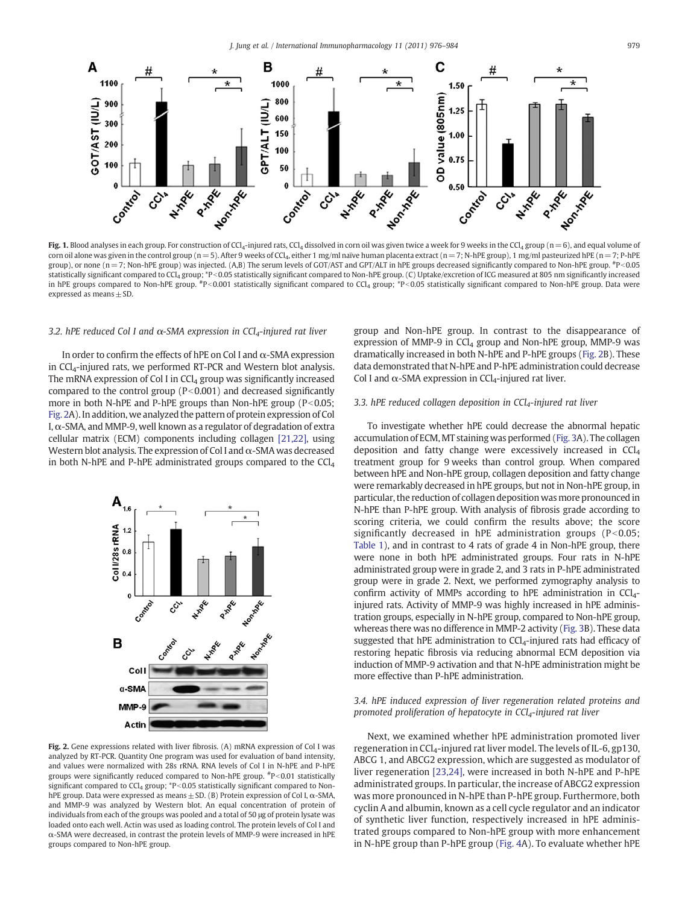<span id="page-3-0"></span>

Fig. 1. Blood analyses in each group. For construction of CCl<sub>4</sub>-injured rats, CCl<sub>4</sub> dissolved in corn oil was given twice a week for 9 weeks in the CCl<sub>4</sub> group (n = 6), and equal volume of corn oil alone was given in the control group (n = 5). After 9 weeks of CCl<sub>4</sub>, either 1 mg/ml naïve human placenta extract (n = 7; N-hPE group), 1 mg/ml pasteurized hPE (n = 7; P-hPE group), or none (n = 7; Non-hPE group) was injected. (A,B) The serum levels of GOT/AST and GPT/ALT in hPE groups decreased significantly compared to Non-hPE group.  $*P$ <0.05 statistically significant compared to CCl<sub>4</sub> group; \*P<0.05 statistically significant compared to Non-hPE group. (C) Uptake/excretion of ICG measured at 805 nm significantly increased in hPE groups compared to Non-hPE group.  $*P<0.001$  statistically significant compared to CCl<sub>4</sub> group;  $*P<0.05$  statistically significant compared to Non-hPE group. Data were expressed as means  $\pm$  SD.

### 3.2. hPE reduced Col I and  $\alpha$ -SMA expression in CCl<sub>4</sub>-injured rat liver

In order to confirm the effects of hPE on Col I and  $\alpha$ -SMA expression in CCl<sub>4</sub>-injured rats, we performed RT-PCR and Western blot analysis. The mRNA expression of Col I in  $CCI<sub>4</sub>$  group was significantly increased compared to the control group  $(P< 0.001)$  and decreased significantly more in both N-hPE and P-hPE groups than Non-hPE group ( $P<0.05$ ; Fig. 2A). In addition, we analyzed the pattern of protein expression of Col I,  $\alpha$ -SMA, and MMP-9, well known as a regulator of degradation of extra cellular matrix (ECM) components including collagen [\[21,22\],](#page-8-0) using Western blot analysis. The expression of Col I and  $\alpha$ -SMA was decreased in both N-hPE and P-hPE administrated groups compared to the CCl<sub>4</sub>



Fig. 2. Gene expressions related with liver fibrosis. (A) mRNA expression of Col I was analyzed by RT-PCR. Quantity One program was used for evaluation of band intensity, and values were normalized with 28s rRNA. RNA levels of Col I in N-hPE and P-hPE groups were significantly reduced compared to Non-hPE group.  ${}^{#}P<0.01$  statistically significant compared to CCl<sub>4</sub> group;  $*P<0.05$  statistically significant compared to NonhPE group. Data were expressed as means± SD. (B) Protein expression of Col I, α-SMA, and MMP-9 was analyzed by Western blot. An equal concentration of protein of individuals from each of the groups was pooled and a total of 50 μg of protein lysate was loaded onto each well. Actin was used as loading control. The protein levels of Col I and α-SMA were decreased, in contrast the protein levels of MMP-9 were increased in hPE groups compared to Non-hPE group.

group and Non-hPE group. In contrast to the disappearance of expression of MMP-9 in  $CCl<sub>4</sub>$  group and Non-hPE group, MMP-9 was dramatically increased in both N-hPE and P-hPE groups (Fig. 2B). These data demonstrated that N-hPE and P-hPE administration could decrease Col I and  $\alpha$ -SMA expression in CCl<sub>4</sub>-injured rat liver.

# 3.3. hPE reduced collagen deposition in  $CCl<sub>4</sub>$ -injured rat liver

To investigate whether hPE could decrease the abnormal hepatic accumulation of ECM,MT staining was performed [\(Fig. 3A](#page-4-0)). The collagen deposition and fatty change were excessively increased in CCl4 treatment group for 9 weeks than control group. When compared between hPE and Non-hPE group, collagen deposition and fatty change were remarkably decreased in hPE groups, but not in Non-hPE group, in particular, the reduction of collagen deposition was more pronounced in N-hPE than P-hPE group. With analysis of fibrosis grade according to scoring criteria, we could confirm the results above; the score significantly decreased in hPE administration groups ( $P < 0.05$ ; [Table 1\)](#page-4-0), and in contrast to 4 rats of grade 4 in Non-hPE group, there were none in both hPE administrated groups. Four rats in N-hPE administrated group were in grade 2, and 3 rats in P-hPE administrated group were in grade 2. Next, we performed zymography analysis to confirm activity of MMPs according to hPE administration in CCl<sub>4</sub>injured rats. Activity of MMP-9 was highly increased in hPE administration groups, especially in N-hPE group, compared to Non-hPE group, whereas there was no difference in MMP-2 activity [\(Fig. 3B](#page-4-0)). These data suggested that hPE administration to  $CCl<sub>4</sub>$ -injured rats had efficacy of restoring hepatic fibrosis via reducing abnormal ECM deposition via induction of MMP-9 activation and that N-hPE administration might be more effective than P-hPE administration.

# 3.4. hPE induced expression of liver regeneration related proteins and promoted proliferation of hepatocyte in CCl<sub>4</sub>-injured rat liver

Next, we examined whether hPE administration promoted liver regeneration in CCl<sub>4</sub>-injured rat liver model. The levels of IL-6, gp130, ABCG 1, and ABCG2 expression, which are suggested as modulator of liver regeneration [\[23,24\],](#page-8-0) were increased in both N-hPE and P-hPE administrated groups. In particular, the increase of ABCG2 expression was more pronounced in N-hPE than P-hPE group. Furthermore, both cyclin A and albumin, known as a cell cycle regulator and an indicator of synthetic liver function, respectively increased in hPE administrated groups compared to Non-hPE group with more enhancement in N-hPE group than P-hPE group [\(Fig. 4A](#page-5-0)). To evaluate whether hPE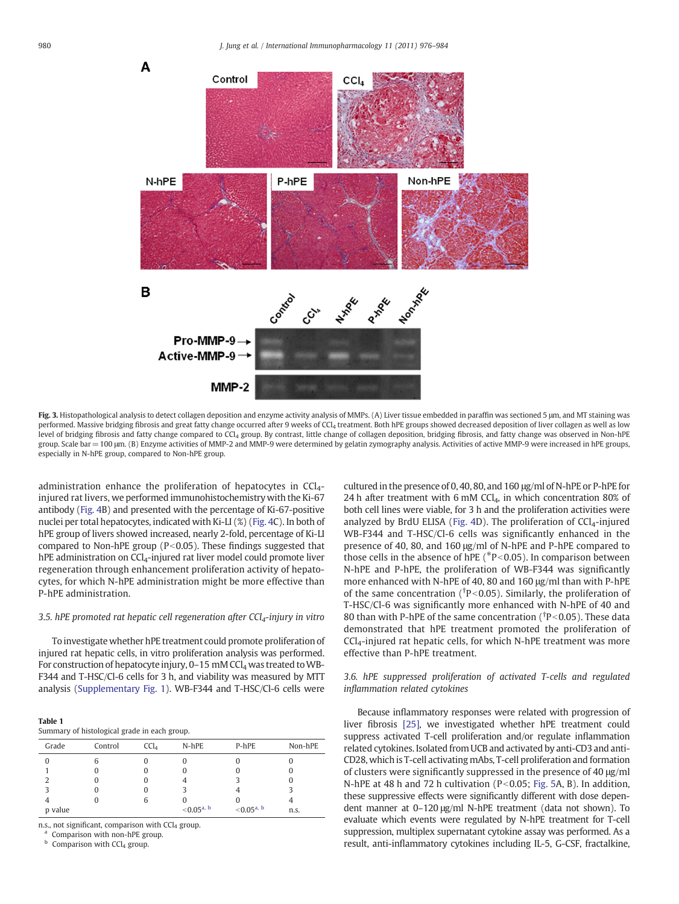<span id="page-4-0"></span>

Fig. 3. Histopathological analysis to detect collagen deposition and enzyme activity analysis of MMPs. (A) Liver tissue embedded in paraffin was sectioned 5 μm, and MT staining was performed. Massive bridging fibrosis and great fatty change occurred after 9 weeks of CCl<sub>4</sub> treatment. Both hPE groups showed decreased deposition of liver collagen as well as low level of bridging fibrosis and fatty change compared to CCl<sub>4</sub> group. By contrast, little change of collagen deposition, bridging fibrosis, and fatty change was observed in Non-hPE group. Scale bar = 100 μm. (B) Enzyme activities of MMP-2 and MMP-9 were determined by gelatin zymography analysis. Activities of active MMP-9 were increased in hPE groups, especially in N-hPE group, compared to Non-hPE group.

administration enhance the proliferation of hepatocytes in  $CCI<sub>4</sub>$ injured rat livers, we performed immunohistochemistry with the Ki-67 antibody ([Fig. 4](#page-5-0)B) and presented with the percentage of Ki-67-positive nuclei per total hepatocytes, indicated with Ki-LI (%) ([Fig. 4C](#page-5-0)). In both of hPE group of livers showed increased, nearly 2-fold, percentage of Ki-LI compared to Non-hPE group ( $P<0.05$ ). These findings suggested that hPE administration on CCl<sub>4</sub>-injured rat liver model could promote liver regeneration through enhancement proliferation activity of hepatocytes, for which N-hPE administration might be more effective than P-hPE administration.

# 3.5. hPE promoted rat hepatic cell regeneration after  $CCl<sub>4</sub>$ -injury in vitro

To investigate whether hPE treatment could promote proliferation of injured rat hepatic cells, in vitro proliferation analysis was performed. For construction of hepatocyte injury,  $0-15$  mM CCl<sub>4</sub> was treated to WB-F344 and T-HSC/Cl-6 cells for 3 h, and viability was measured by MTT analysis [\(Supplementary Fig. 1](#page-6-0)). WB-F344 and T-HSC/Cl-6 cells were

| Table 1                                      |
|----------------------------------------------|
| Summary of histological grade in each group. |
|                                              |

| Grade   | Control | CCl <sub>4</sub> | $N-hPE$                  | P-hPE                    | Non-hPE |
|---------|---------|------------------|--------------------------|--------------------------|---------|
| 0       | b       |                  |                          |                          |         |
|         |         | U                |                          |                          |         |
|         |         | U                |                          |                          |         |
|         |         | O                |                          |                          |         |
|         |         | b                |                          |                          |         |
| p value |         |                  | $< 0.05$ <sup>a, b</sup> | $< 0.05$ <sup>a, b</sup> | n.s.    |

n.s., not significant, comparison with  $CCl<sub>4</sub>$  group.<br><sup>a</sup> Comparison with non-hPE group.

 $<sup>b</sup>$  Comparison with CCl<sub>4</sub> group.</sup>

cultured in the presence of 0, 40, 80, and 160 μg/ml of N-hPE or P-hPE for 24 h after treatment with 6 mM CCl<sub>4</sub>, in which concentration 80% of both cell lines were viable, for 3 h and the proliferation activities were analyzed by BrdU ELISA [\(Fig. 4D](#page-5-0)). The proliferation of  $CCl<sub>4</sub>$ -injured WB-F344 and T-HSC/Cl-6 cells was significantly enhanced in the presence of 40, 80, and 160 μg/ml of N-hPE and P-hPE compared to those cells in the absence of hPE  $(^*P<0.05)$ . In comparison between N-hPE and P-hPE, the proliferation of WB-F344 was significantly more enhanced with N-hPE of 40, 80 and 160 μg/ml than with P-hPE of the same concentration ( $\bar{P}$ <0.05). Similarly, the proliferation of T-HSC/Cl-6 was significantly more enhanced with N-hPE of 40 and 80 than with P-hPE of the same concentration ( $\rm ^{\dagger}P< 0.05$ ). These data demonstrated that hPE treatment promoted the proliferation of  $CCl<sub>4</sub>$ -injured rat hepatic cells, for which N-hPE treatment was more effective than P-hPE treatment.

# 3.6. hPE suppressed proliferation of activated T-cells and regulated inflammation related cytokines

Because inflammatory responses were related with progression of liver fibrosis [\[25\],](#page-8-0) we investigated whether hPE treatment could suppress activated T-cell proliferation and/or regulate inflammation related cytokines. Isolated from UCB and activated by anti-CD3 and anti-CD28, which is T-cell activating mAbs, T-cell proliferation and formation of clusters were significantly suppressed in the presence of 40 μg/ml N-hPE at 48 h and 72 h cultivation ( $P < 0.05$ ; [Fig. 5A](#page-6-0), B). In addition, these suppressive effects were significantly different with dose dependent manner at 0–120 μg/ml N-hPE treatment (data not shown). To evaluate which events were regulated by N-hPE treatment for T-cell suppression, multiplex supernatant cytokine assay was performed. As a result, anti-inflammatory cytokines including IL-5, G-CSF, fractalkine,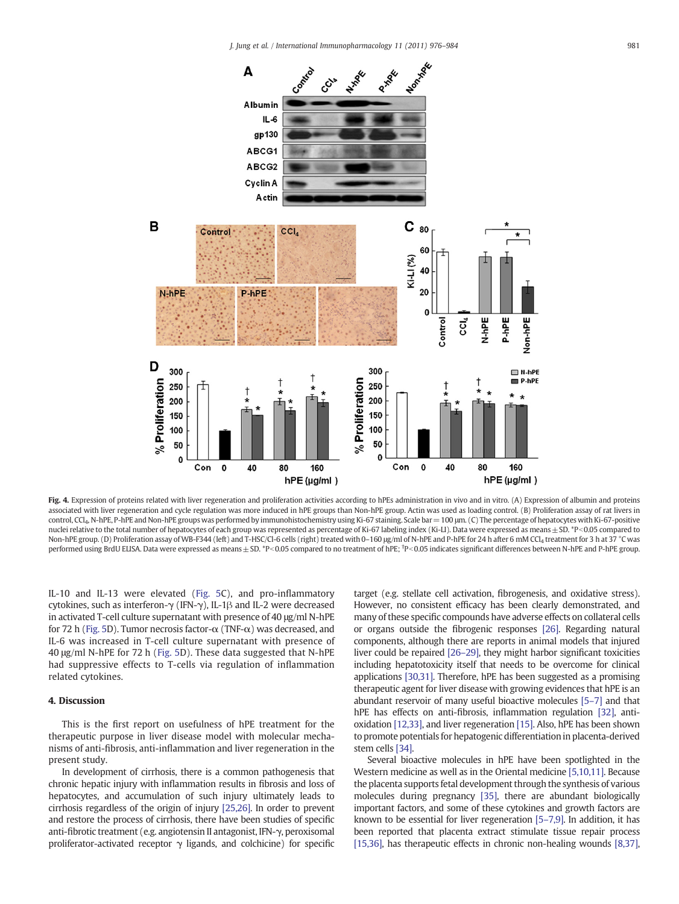<span id="page-5-0"></span>

Fig. 4. Expression of proteins related with liver regeneration and proliferation activities according to hPEs administration in vivo and in vitro. (A) Expression of albumin and proteins associated with liver regeneration and cycle regulation was more induced in hPE groups than Non-hPE group. Actin was used as loading control. (B) Proliferation assay of rat livers in control, CCl4, N-hPE, P-hPE and Non-hPE groups was performed by immunohistochemistry using Ki-67 staining. Scale bar=100 μm. (C) The percentage of hepatocytes with Ki-67-positive nuclei relative to the total number of hepatocytes of each group was represented as percentage of Ki-67 labeling index (Ki-LI). Data were expressed as means ± SD. \*P<0.05 compared to Non-hPE group. (D) Proliferation assay of WB-F344 (left) and T-HSC/Cl-6 cells (right) treated with 0-160 μg/ml of N-hPE and P-hPE for 24 h after 6 mM CCl<sub>4</sub> treatment for 3 h at 37 °C was performed using BrdU ELISA. Data were expressed as means ± SD. \*P<0.05 compared to no treatment of hPE; \*P<0.05 indicates significant differences between N-hPE and P-hPE group.

IL-10 and IL-13 were elevated ([Fig. 5](#page-6-0)C), and pro-inflammatory cytokines, such as interferon-γ (IFN-γ), IL-1β and IL-2 were decreased in activated T-cell culture supernatant with presence of 40 μg/ml N-hPE for 72 h [\(Fig. 5D](#page-6-0)). Tumor necrosis factor- $\alpha$  (TNF- $\alpha$ ) was decreased, and IL-6 was increased in T-cell culture supernatant with presence of 40 μg/ml N-hPE for 72 h ([Fig. 5D](#page-6-0)). These data suggested that N-hPE had suppressive effects to T-cells via regulation of inflammation related cytokines.

# 4. Discussion

This is the first report on usefulness of hPE treatment for the therapeutic purpose in liver disease model with molecular mechanisms of anti-fibrosis, anti-inflammation and liver regeneration in the present study.

In development of cirrhosis, there is a common pathogenesis that chronic hepatic injury with inflammation results in fibrosis and loss of hepatocytes, and accumulation of such injury ultimately leads to cirrhosis regardless of the origin of injury [\[25,26\].](#page-8-0) In order to prevent and restore the process of cirrhosis, there have been studies of specific anti-fibrotic treatment (e.g. angiotensin II antagonist, IFN-γ, peroxisomal proliferator-activated receptor  $\gamma$  ligands, and colchicine) for specific target (e.g. stellate cell activation, fibrogenesis, and oxidative stress). However, no consistent efficacy has been clearly demonstrated, and many of these specific compounds have adverse effects on collateral cells or organs outside the fibrogenic responses [\[26\]](#page-8-0). Regarding natural components, although there are reports in animal models that injured liver could be repaired [\[26](#page-8-0)–29], they might harbor significant toxicities including hepatotoxicity itself that needs to be overcome for clinical applications [\[30,31\].](#page-8-0) Therefore, hPE has been suggested as a promising therapeutic agent for liver disease with growing evidences that hPE is an abundant reservoir of many useful bioactive molecules [\[5](#page-7-0)–7] and that hPE has effects on anti-fibrosis, inflammation regulation [\[32\],](#page-8-0) antioxidation [\[12,33\]](#page-8-0), and liver regeneration [\[15\]](#page-8-0). Also, hPE has been shown to promote potentials for hepatogenic differentiation in placenta-derived stem cells [\[34\]](#page-8-0).

Several bioactive molecules in hPE have been spotlighted in the Western medicine as well as in the Oriental medicine [\[5,10,11\].](#page-7-0) Because the placenta supports fetal development through the synthesis of various molecules during pregnancy [\[35\]](#page-8-0), there are abundant biologically important factors, and some of these cytokines and growth factors are known to be essential for liver regeneration [5–[7,9\]](#page-7-0). In addition, it has been reported that placenta extract stimulate tissue repair process [\[15,36\]](#page-8-0), has therapeutic effects in chronic non-healing wounds [\[8,37\],](#page-7-0)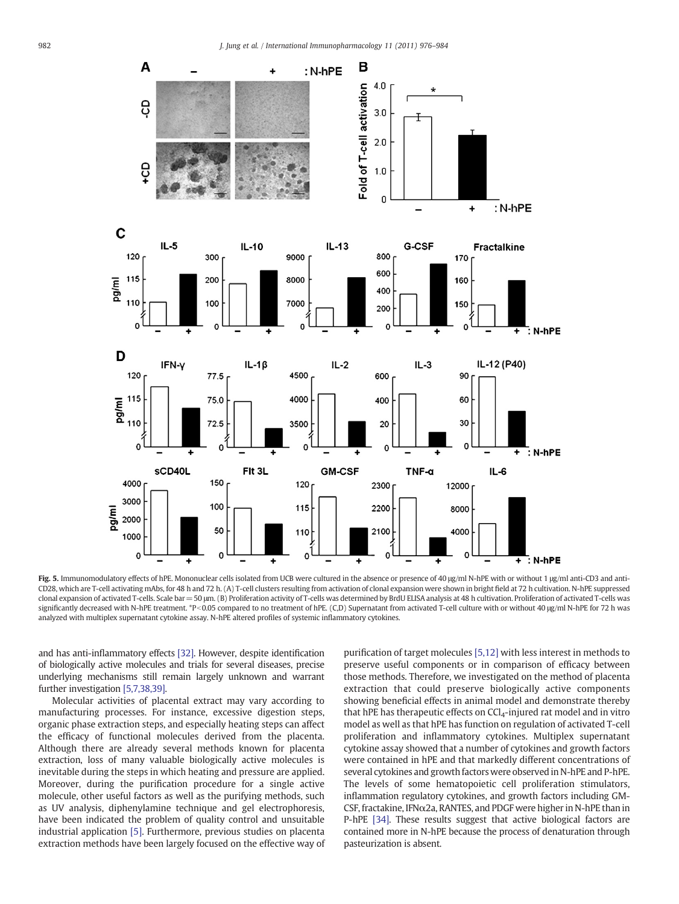<span id="page-6-0"></span>

Fig. 5. Immunomodulatory effects of hPE. Mononuclear cells isolated from UCB were cultured in the absence or presence of 40 μg/ml N-hPE with or without 1 μg/ml anti-CD3 and anti-CD28, which are T-cell activating mAbs, for 48 h and 72 h. (A) T-cell clusters resulting from activation of clonal expansion were shown in bright field at 72 h cultivation. N-hPE suppressed clonal expansion of activated T-cells. Scale bar = 50 μm. (B) Proliferation activity of T-cells was determined by BrdU ELISA analysis at 48 h cultivation. Proliferation of activated T-cells was significantly decreased with N-hPE treatment. \*P<0.05 compared to no treatment of hPE. (C,D) Supernatant from activated T-cell culture with or without 40 μg/ml N-hPE for 72 h was analyzed with multiplex supernatant cytokine assay. N-hPE altered profiles of systemic inflammatory cytokines.

and has anti-inflammatory effects [\[32\].](#page-8-0) However, despite identification of biologically active molecules and trials for several diseases, precise underlying mechanisms still remain largely unknown and warrant further investigation [\[5,7,38,39\].](#page-7-0)

Molecular activities of placental extract may vary according to manufacturing processes. For instance, excessive digestion steps, organic phase extraction steps, and especially heating steps can affect the efficacy of functional molecules derived from the placenta. Although there are already several methods known for placenta extraction, loss of many valuable biologically active molecules is inevitable during the steps in which heating and pressure are applied. Moreover, during the purification procedure for a single active molecule, other useful factors as well as the purifying methods, such as UV analysis, diphenylamine technique and gel electrophoresis, have been indicated the problem of quality control and unsuitable industrial application [\[5\]](#page-7-0). Furthermore, previous studies on placenta extraction methods have been largely focused on the effective way of purification of target molecules [\[5,12\]](#page-7-0) with less interest in methods to preserve useful components or in comparison of efficacy between those methods. Therefore, we investigated on the method of placenta extraction that could preserve biologically active components showing beneficial effects in animal model and demonstrate thereby that hPE has therapeutic effects on  $CCI<sub>4</sub>$ -injured rat model and in vitro model as well as that hPE has function on regulation of activated T-cell proliferation and inflammatory cytokines. Multiplex supernatant cytokine assay showed that a number of cytokines and growth factors were contained in hPE and that markedly different concentrations of several cytokines and growth factors were observed in N-hPE and P-hPE. The levels of some hematopoietic cell proliferation stimulators, inflammation regulatory cytokines, and growth factors including GM-CSF, fractakine, IFN $\alpha$ 2a, RANTES, and PDGF were higher in N-hPE than in P-hPE [\[34\]](#page-8-0). These results suggest that active biological factors are contained more in N-hPE because the process of denaturation through pasteurization is absent.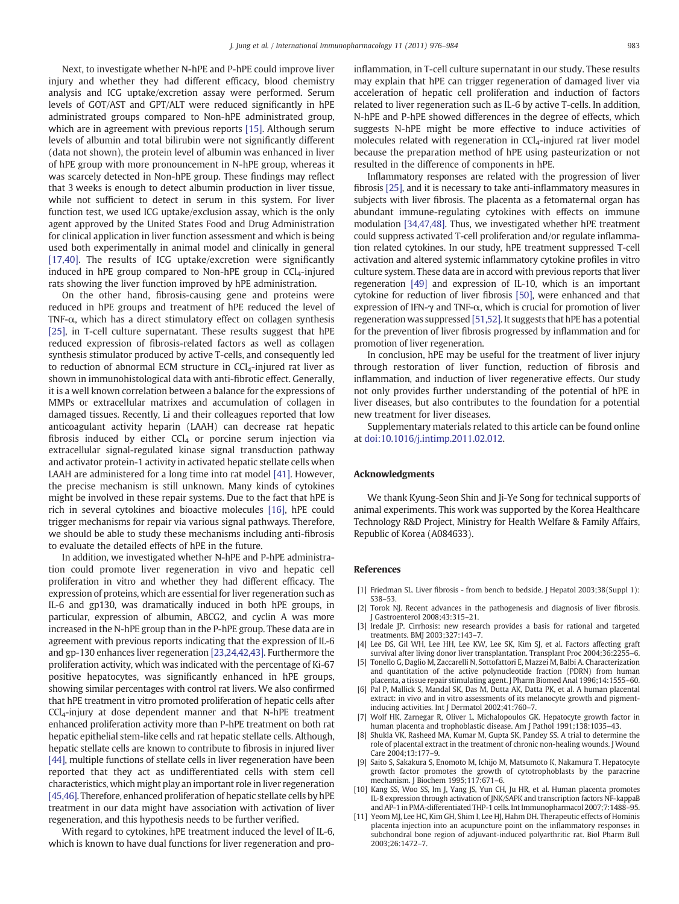<span id="page-7-0"></span>Next, to investigate whether N-hPE and P-hPE could improve liver injury and whether they had different efficacy, blood chemistry analysis and ICG uptake/excretion assay were performed. Serum levels of GOT/AST and GPT/ALT were reduced significantly in hPE administrated groups compared to Non-hPE administrated group, which are in agreement with previous reports [\[15\]](#page-8-0). Although serum levels of albumin and total bilirubin were not significantly different (data not shown), the protein level of albumin was enhanced in liver of hPE group with more pronouncement in N-hPE group, whereas it was scarcely detected in Non-hPE group. These findings may reflect that 3 weeks is enough to detect albumin production in liver tissue, while not sufficient to detect in serum in this system. For liver function test, we used ICG uptake/exclusion assay, which is the only agent approved by the United States Food and Drug Administration for clinical application in liver function assessment and which is being used both experimentally in animal model and clinically in general [\[17,40\].](#page-8-0) The results of ICG uptake/excretion were significantly induced in hPE group compared to Non-hPE group in  $CCl<sub>4</sub>$ -injured rats showing the liver function improved by hPE administration.

On the other hand, fibrosis-causing gene and proteins were reduced in hPE groups and treatment of hPE reduced the level of TNF- $\alpha$ , which has a direct stimulatory effect on collagen synthesis [\[25\]](#page-8-0), in T-cell culture supernatant. These results suggest that hPE reduced expression of fibrosis-related factors as well as collagen synthesis stimulator produced by active T-cells, and consequently led to reduction of abnormal ECM structure in  $CCl<sub>4</sub>$ -injured rat liver as shown in immunohistological data with anti-fibrotic effect. Generally, it is a well known correlation between a balance for the expressions of MMPs or extracellular matrixes and accumulation of collagen in damaged tissues. Recently, Li and their colleagues reported that low anticoagulant activity heparin (LAAH) can decrease rat hepatic fibrosis induced by either  $CCl<sub>4</sub>$  or porcine serum injection via extracellular signal-regulated kinase signal transduction pathway and activator protein-1 activity in activated hepatic stellate cells when LAAH are administered for a long time into rat model [\[41\].](#page-8-0) However, the precise mechanism is still unknown. Many kinds of cytokines might be involved in these repair systems. Due to the fact that hPE is rich in several cytokines and bioactive molecules [\[16\],](#page-8-0) hPE could trigger mechanisms for repair via various signal pathways. Therefore, we should be able to study these mechanisms including anti-fibrosis to evaluate the detailed effects of hPE in the future.

In addition, we investigated whether N-hPE and P-hPE administration could promote liver regeneration in vivo and hepatic cell proliferation in vitro and whether they had different efficacy. The expression of proteins, which are essential for liver regeneration such as IL-6 and gp130, was dramatically induced in both hPE groups, in particular, expression of albumin, ABCG2, and cyclin A was more increased in the N-hPE group than in the P-hPE group. These data are in agreement with previous reports indicating that the expression of IL-6 and gp-130 enhances liver regeneration [\[23,24,42,43\]](#page-8-0). Furthermore the proliferation activity, which was indicated with the percentage of Ki-67 positive hepatocytes, was significantly enhanced in hPE groups, showing similar percentages with control rat livers. We also confirmed that hPE treatment in vitro promoted proliferation of hepatic cells after CCl4-injury at dose dependent manner and that N-hPE treatment enhanced proliferation activity more than P-hPE treatment on both rat hepatic epithelial stem-like cells and rat hepatic stellate cells. Although, hepatic stellate cells are known to contribute to fibrosis in injured liver [\[44\],](#page-8-0) multiple functions of stellate cells in liver regeneration have been reported that they act as undifferentiated cells with stem cell characteristics, which might play an important role in liver regeneration [\[45,46\].](#page-8-0) Therefore, enhanced proliferation of hepatic stellate cells by hPE treatment in our data might have association with activation of liver regeneration, and this hypothesis needs to be further verified.

With regard to cytokines, hPE treatment induced the level of IL-6, which is known to have dual functions for liver regeneration and proinflammation, in T-cell culture supernatant in our study. These results may explain that hPE can trigger regeneration of damaged liver via acceleration of hepatic cell proliferation and induction of factors related to liver regeneration such as IL-6 by active T-cells. In addition, N-hPE and P-hPE showed differences in the degree of effects, which suggests N-hPE might be more effective to induce activities of molecules related with regeneration in  $CCI<sub>4</sub>$ -injured rat liver model because the preparation method of hPE using pasteurization or not resulted in the difference of components in hPE.

Inflammatory responses are related with the progression of liver fibrosis [\[25\],](#page-8-0) and it is necessary to take anti-inflammatory measures in subjects with liver fibrosis. The placenta as a fetomaternal organ has abundant immune-regulating cytokines with effects on immune modulation [\[34,47,48\]](#page-8-0). Thus, we investigated whether hPE treatment could suppress activated T-cell proliferation and/or regulate inflammation related cytokines. In our study, hPE treatment suppressed T-cell activation and altered systemic inflammatory cytokine profiles in vitro culture system. These data are in accord with previous reports that liver regeneration [\[49\]](#page-8-0) and expression of IL-10, which is an important cytokine for reduction of liver fibrosis [\[50\],](#page-8-0) were enhanced and that expression of IFN- $\gamma$  and TNF- $\alpha$ , which is crucial for promotion of liver regeneration was suppressed [\[51,52\]](#page-8-0). It suggests that hPE has a potential for the prevention of liver fibrosis progressed by inflammation and for promotion of liver regeneration.

In conclusion, hPE may be useful for the treatment of liver injury through restoration of liver function, reduction of fibrosis and inflammation, and induction of liver regenerative effects. Our study not only provides further understanding of the potential of hPE in liver diseases, but also contributes to the foundation for a potential new treatment for liver diseases.

Supplementary materials related to this article can be found online at [doi:10.1016/j.intimp.2011.02.012](http://doi:10.1016/j.intimp.2011.02.012).

#### Acknowledgments

We thank Kyung-Seon Shin and Ji-Ye Song for technical supports of animal experiments. This work was supported by the Korea Healthcare Technology R&D Project, Ministry for Health Welfare & Family Affairs, Republic of Korea (A084633).

#### References

- [1] Friedman SL. Liver fibrosis from bench to bedside. J Hepatol 2003;38(Suppl 1): S38–53.
- [2] Torok NJ. Recent advances in the pathogenesis and diagnosis of liver fibrosis. J Gastroenterol 2008;43:315–21.
- [3] Iredale JP. Cirrhosis: new research provides a basis for rational and targeted treatments. BMJ 2003;327:143–7.
- [4] Lee DS, Gil WH, Lee HH, Lee KW, Lee SK, Kim SJ, et al. Factors affecting graft survival after living donor liver transplantation. Transplant Proc 2004;36:2255–6.
- [5] Tonello G, Daglio M, Zaccarelli N, Sottofattori E, Mazzei M, Balbi A. Characterization and quantitation of the active polynucleotide fraction (PDRN) from human placenta, a tissue repair stimulating agent. J Pharm Biomed Anal 1996;14:1555–60.
- [6] Pal P, Mallick S, Mandal SK, Das M, Dutta AK, Datta PK, et al. A human placental extract: in vivo and in vitro assessments of its melanocyte growth and pigmentinducing activities. Int J Dermatol 2002;41:760-7.
- [7] Wolf HK, Zarnegar R, Oliver L, Michalopoulos GK. Hepatocyte growth factor in human placenta and trophoblastic disease. Am J Pathol 1991;138:1035–43.
- Shukla VK, Rasheed MA, Kumar M, Gupta SK, Pandey SS. A trial to determine the role of placental extract in the treatment of chronic non-healing wounds. J Wound Care 2004;13:177–9.
- [9] Saito S, Sakakura S, Enomoto M, Ichijo M, Matsumoto K, Nakamura T. Hepatocyte growth factor promotes the growth of cytotrophoblasts by the paracrine mechanism. J Biochem 1995;117:671–6.
- [10] Kang SS, Woo SS, Im J, Yang JS, Yun CH, Ju HR, et al. Human placenta promotes IL-8 expression through activation of JNK/SAPK and transcription factors NF-kappaB and AP-1 in PMA-differentiated THP-1 cells. Int Immunopharmacol 2007;7:1488–95.
- [11] Yeom MJ, Lee HC, Kim GH, Shim I, Lee HJ, Hahm DH. Therapeutic effects of Hominis placenta injection into an acupuncture point on the inflammatory responses in subchondral bone region of adjuvant-induced polyarthritic rat. Biol Pharm Bull 2003;26:1472–7.